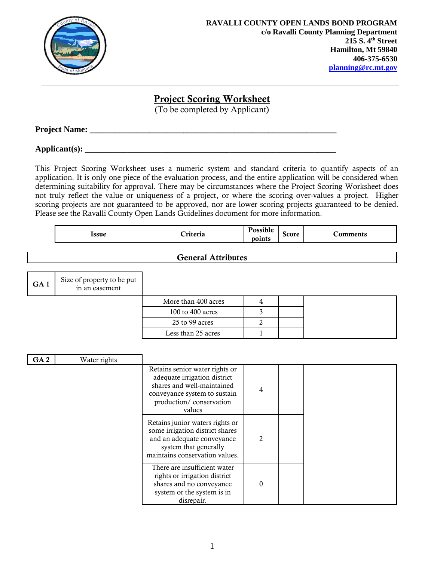

## **Project Scoring Worksheet**

(To be completed by Applicant)

**Project Name: \_\_\_\_\_\_\_\_\_\_\_\_\_\_\_\_\_\_\_\_\_\_\_\_\_\_\_\_\_\_\_\_\_\_\_\_\_\_\_\_\_\_\_\_\_\_\_\_\_\_\_\_\_\_\_\_\_\_**

**Applicant(s): \_\_\_\_\_\_\_\_\_\_\_\_\_\_\_\_\_\_\_\_\_\_\_\_\_\_\_\_\_\_\_\_\_\_\_\_\_\_\_\_\_\_\_\_\_\_\_\_\_\_\_\_\_\_\_\_\_\_\_**

This Project Scoring Worksheet uses a numeric system and standard criteria to quantify aspects of an application. It is only one piece of the evaluation process, and the entire application will be considered when determining suitability for approval. There may be circumstances where the Project Scoring Worksheet does not truly reflect the value or uniqueness of a project, or where the scoring over-values a project. Higher scoring projects are not guaranteed to be approved, nor are lower scoring projects guaranteed to be denied. Please see the Ravalli County Open Lands Guidelines document for more information.

| <b>Issue</b> | $*** -$ | $\mathbf{D}\cos\theta$<br>USSIDIE <sup>-</sup><br>points | <b>Score</b> | comments |
|--------------|---------|----------------------------------------------------------|--------------|----------|
|              |         |                                                          |              |          |

## **General Attributes**

| GA <sub>1</sub> | Size of property to be put<br>in an easement |                     |  |  |
|-----------------|----------------------------------------------|---------------------|--|--|
|                 |                                              | More than 400 acres |  |  |
|                 |                                              | 100 to 400 acres    |  |  |
|                 |                                              | 25 to 99 acres      |  |  |
|                 |                                              | Less than 25 acres  |  |  |

| GA <sub>2</sub> | Water rights |                                                                                                                                                                   |               |  |
|-----------------|--------------|-------------------------------------------------------------------------------------------------------------------------------------------------------------------|---------------|--|
|                 |              | Retains senior water rights or<br>adequate irrigation district<br>shares and well-maintained<br>conveyance system to sustain<br>production/conservation<br>values | 4             |  |
|                 |              | Retains junior waters rights or<br>some irrigation district shares<br>and an adequate conveyance<br>system that generally<br>maintains conservation values.       | $\mathcal{P}$ |  |
|                 |              | There are insufficient water<br>rights or irrigation district<br>shares and no conveyance<br>system or the system is in<br>disrepair.                             | 0             |  |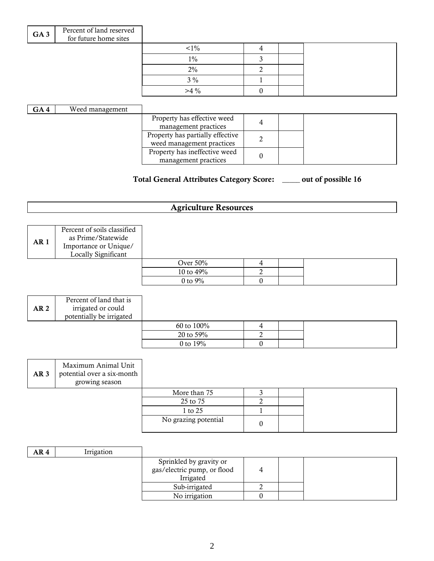| GA <sub>3</sub> | Percent of land reserved<br>for future home sites |         |  |  |
|-----------------|---------------------------------------------------|---------|--|--|
|                 |                                                   | $< 1\%$ |  |  |
|                 |                                                   | $1\%$   |  |  |
|                 |                                                   | 2%      |  |  |
|                 |                                                   | $3\%$   |  |  |
|                 |                                                   | $>4\%$  |  |  |
|                 |                                                   |         |  |  |

| GA4 | Weed management |                                  |  |  |
|-----|-----------------|----------------------------------|--|--|
|     |                 | Property has effective weed      |  |  |
|     |                 | management practices             |  |  |
|     |                 | Property has partially effective |  |  |
|     |                 | weed management practices        |  |  |
|     |                 | Property has ineffective weed    |  |  |
|     |                 | management practices             |  |  |

## **Total General Attributes Category Score:** \_\_\_\_\_ **out of possible 16**

# **Agriculture Resources**

| AR <sub>1</sub> | Percent of soils classified<br>as Prime/Statewide<br>Importance or Unique/<br>Locally Significant |            |  |  |
|-----------------|---------------------------------------------------------------------------------------------------|------------|--|--|
|                 |                                                                                                   | Over 50%   |  |  |
|                 |                                                                                                   | 10 to 49%  |  |  |
|                 |                                                                                                   | 0 to $9\%$ |  |  |

| AR <sub>2</sub> | Percent of land that is<br>irrigated or could<br>potentially be irrigated |             |  |  |
|-----------------|---------------------------------------------------------------------------|-------------|--|--|
|                 |                                                                           | 60 to 100%  |  |  |
|                 |                                                                           | 20 to 59%   |  |  |
|                 |                                                                           | 0 to $19\%$ |  |  |

| AR <sub>3</sub> | Maximum Animal Unit<br>potential over a six-month<br>growing season |                      |  |  |
|-----------------|---------------------------------------------------------------------|----------------------|--|--|
|                 |                                                                     | More than 75         |  |  |
|                 |                                                                     | 25 to 75             |  |  |
|                 |                                                                     | 1 to 25              |  |  |
|                 |                                                                     | No grazing potential |  |  |

| AR 4 | Irrigation |                                                                     |  |  |
|------|------------|---------------------------------------------------------------------|--|--|
|      |            | Sprinkled by gravity or<br>gas/electric pump, or flood<br>Irrigated |  |  |
|      |            | Sub-irrigated                                                       |  |  |
|      |            | No irrigation                                                       |  |  |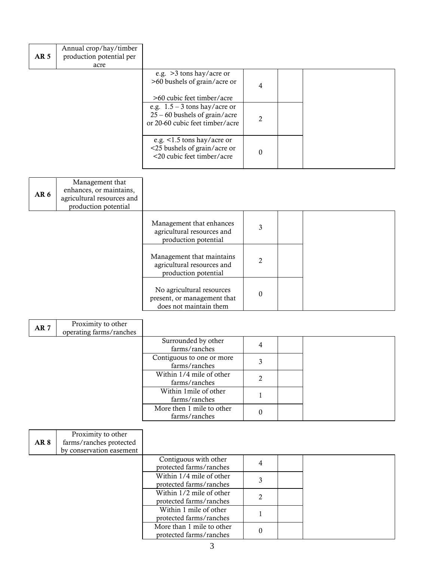| AR <sub>5</sub> | Annual crop/hay/timber<br>production potential per<br>acre |                                                                                                       |                |  |
|-----------------|------------------------------------------------------------|-------------------------------------------------------------------------------------------------------|----------------|--|
|                 |                                                            | e.g. $>3$ tons hay/acre or<br>>60 bushels of grain/acre or<br>>60 cubic feet timber/acre              | 4              |  |
|                 |                                                            | e.g. $1.5 - 3$ tons hay/acre or<br>$25 - 60$ bushels of grain/acre<br>or 20-60 cubic feet timber/acre | $\mathfrak{D}$ |  |
|                 |                                                            | e.g. <1.5 tons hay/acre or<br><25 bushels of grain/acre or<br><20 cubic feet timber/acre              | $\theta$       |  |

| AR <sub>6</sub> | Management that<br>enhances, or maintains,<br>agricultural resources and<br>production potential |                                                                                    |                |  |
|-----------------|--------------------------------------------------------------------------------------------------|------------------------------------------------------------------------------------|----------------|--|
|                 |                                                                                                  | Management that enhances<br>agricultural resources and<br>production potential     | 3              |  |
|                 |                                                                                                  | Management that maintains<br>agricultural resources and<br>production potential    | $\mathfrak{D}$ |  |
|                 |                                                                                                  | No agricultural resources<br>present, or management that<br>does not maintain them | $\theta$       |  |

| AR <sub>7</sub> | Proximity to other<br>operating farms/ranches |                                            |   |  |
|-----------------|-----------------------------------------------|--------------------------------------------|---|--|
|                 |                                               | Surrounded by other<br>farms/ranches       | 4 |  |
|                 |                                               | Contiguous to one or more<br>farms/ranches | о |  |
|                 |                                               | Within 1/4 mile of other<br>farms/ranches  | ົ |  |
|                 |                                               | Within 1 mile of other<br>farms/ranches    |   |  |
|                 |                                               | More then 1 mile to other<br>farms/ranches |   |  |

| AR 8 | Proximity to other<br>farms/ranches protected |                                                      |   |  |  |
|------|-----------------------------------------------|------------------------------------------------------|---|--|--|
|      | by conservation easement                      |                                                      |   |  |  |
|      |                                               | Contiguous with other<br>protected farms/ranches     | 4 |  |  |
|      |                                               | Within 1/4 mile of other<br>protected farms/ranches  |   |  |  |
|      |                                               | Within 1/2 mile of other<br>protected farms/ranches  |   |  |  |
|      |                                               | Within 1 mile of other<br>protected farms/ranches    |   |  |  |
|      |                                               | More than 1 mile to other<br>protected farms/ranches |   |  |  |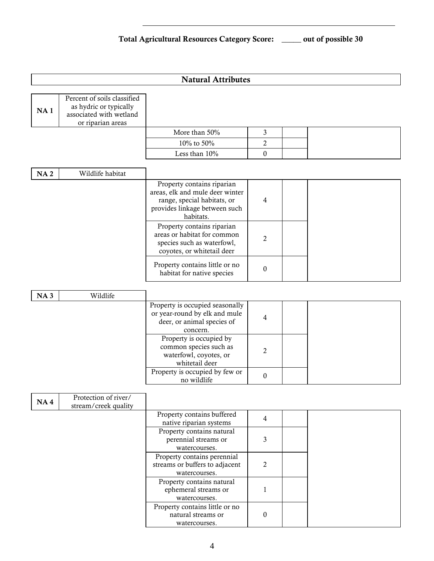## **Natural Attributes**

| <b>NA1</b> | Percent of soils classified<br>as hydric or typically<br>associated with wetland<br>or riparian areas |               |  |  |
|------------|-------------------------------------------------------------------------------------------------------|---------------|--|--|
|            |                                                                                                       | More than 50% |  |  |
|            |                                                                                                       | 10% to 50%    |  |  |
|            |                                                                                                       | Less than 10% |  |  |

| <b>NA2</b> | Wildlife habitat |                                                                                                                                            |   |  |  |  |
|------------|------------------|--------------------------------------------------------------------------------------------------------------------------------------------|---|--|--|--|
|            |                  | Property contains riparian<br>areas, elk and mule deer winter<br>range, special habitats, or<br>provides linkage between such<br>habitats. | 4 |  |  |  |
|            |                  | Property contains riparian<br>areas or habitat for common<br>species such as waterfowl,<br>coyotes, or whitetail deer                      |   |  |  |  |
|            |                  | Property contains little or no<br>habitat for native species                                                                               | 0 |  |  |  |

| <b>NA3</b> | Wildlife |                                                                                                            |   |  |  |
|------------|----------|------------------------------------------------------------------------------------------------------------|---|--|--|
|            |          | Property is occupied seasonally<br>or year-round by elk and mule<br>deer, or animal species of<br>concern. |   |  |  |
|            |          | Property is occupied by<br>common species such as<br>waterfowl, coyotes, or<br>whitetail deer              |   |  |  |
|            |          | Property is occupied by few or<br>no wildlife                                                              | 0 |  |  |

| <b>NA4</b> | Protection of river/ |                                |                |  |
|------------|----------------------|--------------------------------|----------------|--|
|            | stream/creek quality |                                |                |  |
|            |                      | Property contains buffered     | 4              |  |
|            |                      | native riparian systems        |                |  |
|            |                      | Property contains natural      |                |  |
|            |                      | perennial streams or           |                |  |
|            |                      | watercourses.                  |                |  |
|            |                      | Property contains perennial    |                |  |
|            |                      | streams or buffers to adjacent | $\mathfrak{D}$ |  |
|            |                      | watercourses.                  |                |  |
|            |                      | Property contains natural      |                |  |
|            |                      | ephemeral streams or           |                |  |
|            |                      | watercourses.                  |                |  |
|            |                      | Property contains little or no |                |  |
|            |                      | natural streams or             | 0              |  |
|            |                      | watercourses.                  |                |  |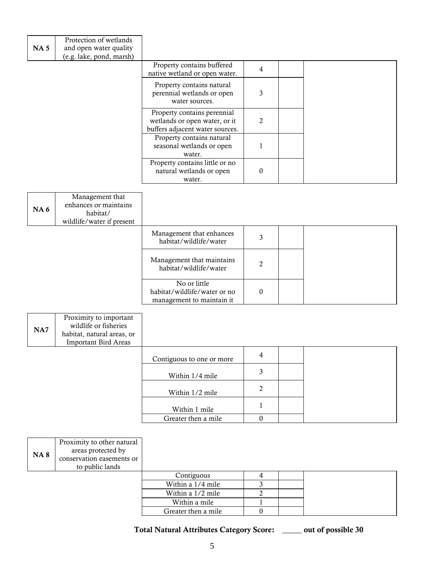| NA <sub>5</sub> | Protection of wetlands<br>and open water quality<br>(e.g. lake, pond, marsh) |                                                                                                 |                |  |
|-----------------|------------------------------------------------------------------------------|-------------------------------------------------------------------------------------------------|----------------|--|
|                 |                                                                              | Property contains buffered<br>native wetland or open water.                                     | 4              |  |
|                 |                                                                              | Property contains natural<br>perennial wetlands or open<br>water sources.                       | 3              |  |
|                 |                                                                              | Property contains perennial<br>wetlands or open water, or it<br>buffers adjacent water sources. | $\mathfrak{D}$ |  |
|                 |                                                                              | Property contains natural<br>seasonal wetlands or open<br>water.                                |                |  |
|                 |                                                                              | Property contains little or no<br>natural wetlands or open<br>water.                            | $\theta$       |  |

| <b>NA6</b> | Management that<br>enhances or maintains<br>habitat/<br>wildlife/water if present |                                                                           |          |  |  |
|------------|-----------------------------------------------------------------------------------|---------------------------------------------------------------------------|----------|--|--|
|            |                                                                                   | Management that enhances<br>habitat/wildlife/water                        | 3        |  |  |
|            |                                                                                   | Management that maintains<br>habitat/wildlife/water                       | 2        |  |  |
|            |                                                                                   | No or little<br>habitat/wildlife/water or no<br>management to maintain it | $\Omega$ |  |  |

| NA7 | Proximity to important<br>wildlife or fisheries<br>habitat, natural areas, or<br><b>Important Bird Areas</b> |                           |        |  |
|-----|--------------------------------------------------------------------------------------------------------------|---------------------------|--------|--|
|     |                                                                                                              | Contiguous to one or more | 4      |  |
|     |                                                                                                              | Within 1/4 mile           |        |  |
|     |                                                                                                              |                           | $\sim$ |  |

| , , , , , , , , , , , , |  |
|-------------------------|--|
| Within 1/2 mile         |  |
| Within 1 mile           |  |
| Greater then a mile     |  |

| <b>NA8</b> | Proximity to other natural<br>areas protected by<br>conservation easements or<br>to public lands |                     |  |  |
|------------|--------------------------------------------------------------------------------------------------|---------------------|--|--|
|            |                                                                                                  | Contiguous          |  |  |
|            |                                                                                                  | Within a 1/4 mile   |  |  |
|            |                                                                                                  | Within a 1/2 mile   |  |  |
|            |                                                                                                  | Within a mile       |  |  |
|            |                                                                                                  | Greater then a mile |  |  |

**Total Natural Attributes Category Score: \_\_\_\_\_ out of possible 30**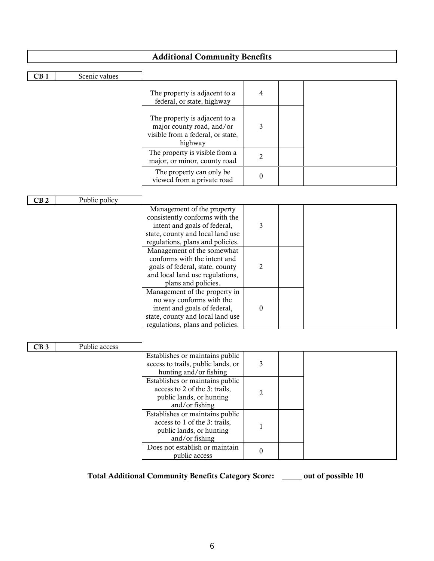| <b>Additional Community Benefits</b>                                      |  |
|---------------------------------------------------------------------------|--|
|                                                                           |  |
| Scenic values<br>CB1                                                      |  |
|                                                                           |  |
| The property is adjacent to a<br>$\overline{4}$                           |  |
| federal, or state, highway                                                |  |
| The property is adjacent to a                                             |  |
| 3<br>major county road, and/or                                            |  |
| visible from a federal, or state,                                         |  |
| highway                                                                   |  |
| The property is visible from a                                            |  |
| $\overline{2}$<br>major, or minor, county road                            |  |
| The property can only be                                                  |  |
| $\boldsymbol{0}$<br>viewed from a private road                            |  |
|                                                                           |  |
| Public policy<br>CB <sub>2</sub>                                          |  |
| Management of the property                                                |  |
| consistently conforms with the                                            |  |
| intent and goals of federal,<br>3                                         |  |
| state, county and local land use                                          |  |
| regulations, plans and policies.                                          |  |
| Management of the somewhat                                                |  |
| conforms with the intent and                                              |  |
| $\overline{2}$<br>goals of federal, state, county                         |  |
| and local land use regulations,<br>plans and policies.                    |  |
| Management of the property in                                             |  |
| no way conforms with the                                                  |  |
| intent and goals of federal,<br>$\boldsymbol{0}$                          |  |
| state, county and local land use                                          |  |
| regulations, plans and policies.                                          |  |
|                                                                           |  |
| Public access<br>CB3                                                      |  |
| Establishes or maintains public                                           |  |
| access to trails, public lands, or<br>3                                   |  |
| hunting and/or fishing                                                    |  |
| Establishes or maintains public                                           |  |
| access to 2 of the 3: trails,<br>$\mathbf{2}$                             |  |
| public lands, or hunting                                                  |  |
| and/or fishing                                                            |  |
| Establishes or maintains public                                           |  |
| access to 1 of the 3: trails,<br>$\mathbf{1}$<br>public lands, or hunting |  |
| and/or fishing                                                            |  |

**Total Additional Community Benefits Category Score: \_\_\_\_\_ out of possible 10**

public access 0

Does not establish or maintain